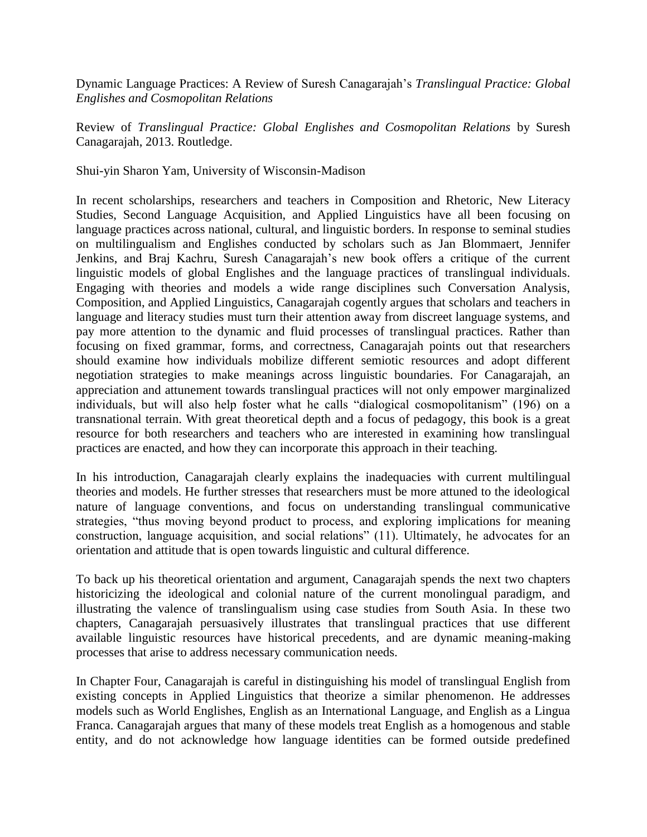Dynamic Language Practices: A Review of Suresh Canagarajah's *Translingual Practice: Global Englishes and Cosmopolitan Relations*

Review of *Translingual Practice: Global Englishes and Cosmopolitan Relations* by Suresh Canagarajah, 2013. Routledge.

Shui-yin Sharon Yam, University of Wisconsin-Madison

In recent scholarships, researchers and teachers in Composition and Rhetoric, New Literacy Studies, Second Language Acquisition, and Applied Linguistics have all been focusing on language practices across national, cultural, and linguistic borders. In response to seminal studies on multilingualism and Englishes conducted by scholars such as Jan Blommaert, Jennifer Jenkins, and Braj Kachru, Suresh Canagarajah's new book offers a critique of the current linguistic models of global Englishes and the language practices of translingual individuals. Engaging with theories and models a wide range disciplines such Conversation Analysis, Composition, and Applied Linguistics, Canagarajah cogently argues that scholars and teachers in language and literacy studies must turn their attention away from discreet language systems, and pay more attention to the dynamic and fluid processes of translingual practices. Rather than focusing on fixed grammar, forms, and correctness, Canagarajah points out that researchers should examine how individuals mobilize different semiotic resources and adopt different negotiation strategies to make meanings across linguistic boundaries. For Canagarajah, an appreciation and attunement towards translingual practices will not only empower marginalized individuals, but will also help foster what he calls "dialogical cosmopolitanism" (196) on a transnational terrain. With great theoretical depth and a focus of pedagogy, this book is a great resource for both researchers and teachers who are interested in examining how translingual practices are enacted, and how they can incorporate this approach in their teaching.

In his introduction, Canagarajah clearly explains the inadequacies with current multilingual theories and models. He further stresses that researchers must be more attuned to the ideological nature of language conventions, and focus on understanding translingual communicative strategies, "thus moving beyond product to process, and exploring implications for meaning construction, language acquisition, and social relations" (11). Ultimately, he advocates for an orientation and attitude that is open towards linguistic and cultural difference.

To back up his theoretical orientation and argument, Canagarajah spends the next two chapters historicizing the ideological and colonial nature of the current monolingual paradigm, and illustrating the valence of translingualism using case studies from South Asia. In these two chapters, Canagarajah persuasively illustrates that translingual practices that use different available linguistic resources have historical precedents, and are dynamic meaning-making processes that arise to address necessary communication needs.

In Chapter Four, Canagarajah is careful in distinguishing his model of translingual English from existing concepts in Applied Linguistics that theorize a similar phenomenon. He addresses models such as World Englishes, English as an International Language, and English as a Lingua Franca. Canagarajah argues that many of these models treat English as a homogenous and stable entity, and do not acknowledge how language identities can be formed outside predefined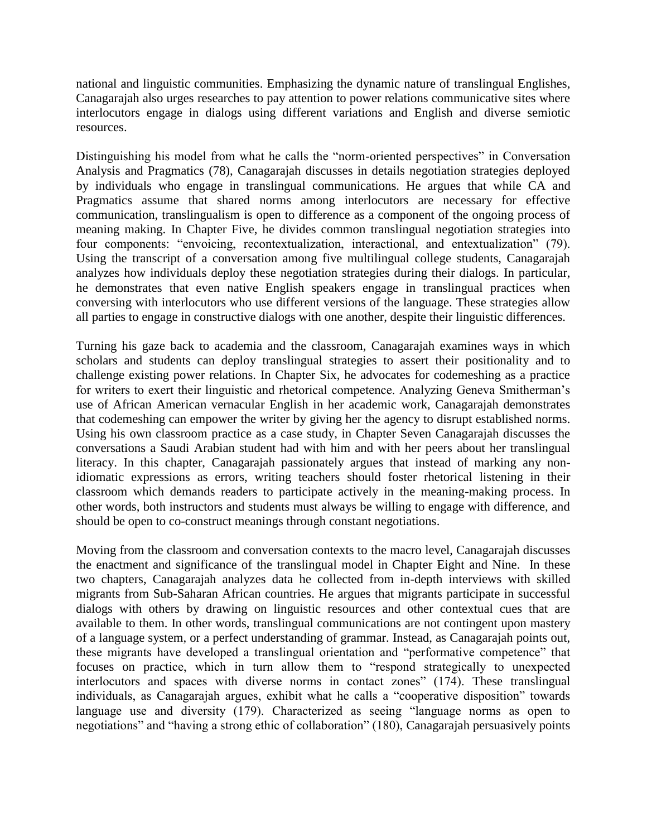national and linguistic communities. Emphasizing the dynamic nature of translingual Englishes, Canagarajah also urges researches to pay attention to power relations communicative sites where interlocutors engage in dialogs using different variations and English and diverse semiotic resources.

Distinguishing his model from what he calls the "norm-oriented perspectives" in Conversation Analysis and Pragmatics (78), Canagarajah discusses in details negotiation strategies deployed by individuals who engage in translingual communications. He argues that while CA and Pragmatics assume that shared norms among interlocutors are necessary for effective communication, translingualism is open to difference as a component of the ongoing process of meaning making. In Chapter Five, he divides common translingual negotiation strategies into four components: "envoicing, recontextualization, interactional, and entextualization" (79). Using the transcript of a conversation among five multilingual college students, Canagarajah analyzes how individuals deploy these negotiation strategies during their dialogs. In particular, he demonstrates that even native English speakers engage in translingual practices when conversing with interlocutors who use different versions of the language. These strategies allow all parties to engage in constructive dialogs with one another, despite their linguistic differences.

Turning his gaze back to academia and the classroom, Canagarajah examines ways in which scholars and students can deploy translingual strategies to assert their positionality and to challenge existing power relations. In Chapter Six, he advocates for codemeshing as a practice for writers to exert their linguistic and rhetorical competence. Analyzing Geneva Smitherman's use of African American vernacular English in her academic work, Canagarajah demonstrates that codemeshing can empower the writer by giving her the agency to disrupt established norms. Using his own classroom practice as a case study, in Chapter Seven Canagarajah discusses the conversations a Saudi Arabian student had with him and with her peers about her translingual literacy. In this chapter, Canagarajah passionately argues that instead of marking any nonidiomatic expressions as errors, writing teachers should foster rhetorical listening in their classroom which demands readers to participate actively in the meaning-making process. In other words, both instructors and students must always be willing to engage with difference, and should be open to co-construct meanings through constant negotiations.

Moving from the classroom and conversation contexts to the macro level, Canagarajah discusses the enactment and significance of the translingual model in Chapter Eight and Nine. In these two chapters, Canagarajah analyzes data he collected from in-depth interviews with skilled migrants from Sub-Saharan African countries. He argues that migrants participate in successful dialogs with others by drawing on linguistic resources and other contextual cues that are available to them. In other words, translingual communications are not contingent upon mastery of a language system, or a perfect understanding of grammar. Instead, as Canagarajah points out, these migrants have developed a translingual orientation and "performative competence" that focuses on practice, which in turn allow them to "respond strategically to unexpected interlocutors and spaces with diverse norms in contact zones" (174). These translingual individuals, as Canagarajah argues, exhibit what he calls a "cooperative disposition" towards language use and diversity (179). Characterized as seeing "language norms as open to negotiations" and "having a strong ethic of collaboration" (180), Canagarajah persuasively points